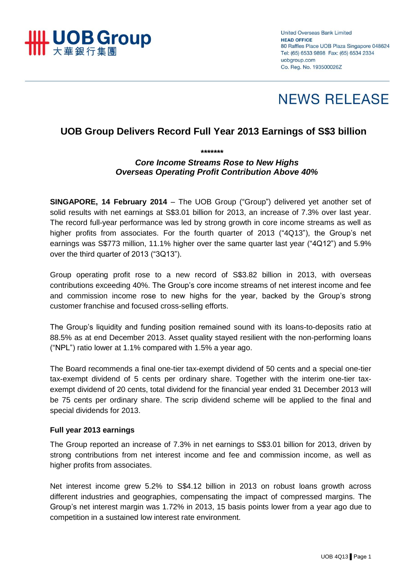

**United Overseas Bank Limited HEAD OFFICE** 80 Raffles Place UOB Plaza Singapore 048624 Tel: (65) 6533 9898 Fax: (65) 6534 2334 uobaroup.com Co. Reg. No. 193500026Z

# **NEWS RELEASE**

# **UOB Group Delivers Record Full Year 2013 Earnings of S\$3 billion**

*\*\*\*\*\*\*\**

## *Core Income Streams Rose to New Highs Overseas Operating Profit Contribution Above 40%*

**SINGAPORE, 14 February 2014** – The UOB Group ("Group") delivered yet another set of solid results with net earnings at S\$3.01 billion for 2013, an increase of 7.3% over last year. The record full-year performance was led by strong growth in core income streams as well as higher profits from associates. For the fourth quarter of 2013 ("4Q13"), the Group's net earnings was S\$773 million, 11.1% higher over the same quarter last year ("4Q12") and 5.9% over the third quarter of 2013 ("3Q13").

Group operating profit rose to a new record of S\$3.82 billion in 2013, with overseas contributions exceeding 40%. The Group's core income streams of net interest income and fee and commission income rose to new highs for the year, backed by the Group's strong customer franchise and focused cross-selling efforts.

The Group's liquidity and funding position remained sound with its loans-to-deposits ratio at 88.5% as at end December 2013. Asset quality stayed resilient with the non-performing loans ("NPL") ratio lower at 1.1% compared with 1.5% a year ago.

The Board recommends a final one-tier tax-exempt dividend of 50 cents and a special one-tier tax-exempt dividend of 5 cents per ordinary share. Together with the interim one-tier taxexempt dividend of 20 cents, total dividend for the financial year ended 31 December 2013 will be 75 cents per ordinary share. The scrip dividend scheme will be applied to the final and special dividends for 2013.

#### **Full year 2013 earnings**

The Group reported an increase of 7.3% in net earnings to S\$3.01 billion for 2013, driven by strong contributions from net interest income and fee and commission income, as well as higher profits from associates.

Net interest income grew 5.2% to S\$4.12 billion in 2013 on robust loans growth across different industries and geographies, compensating the impact of compressed margins. The Group's net interest margin was 1.72% in 2013, 15 basis points lower from a year ago due to competition in a sustained low interest rate environment.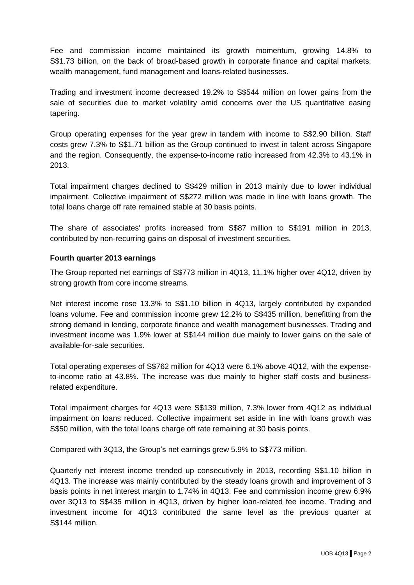Fee and commission income maintained its growth momentum, growing 14.8% to S\$1.73 billion, on the back of broad-based growth in corporate finance and capital markets, wealth management, fund management and loans-related businesses.

Trading and investment income decreased 19.2% to S\$544 million on lower gains from the sale of securities due to market volatility amid concerns over the US quantitative easing tapering.

Group operating expenses for the year grew in tandem with income to S\$2.90 billion. Staff costs grew 7.3% to S\$1.71 billion as the Group continued to invest in talent across Singapore and the region. Consequently, the expense-to-income ratio increased from 42.3% to 43.1% in 2013.

Total impairment charges declined to S\$429 million in 2013 mainly due to lower individual impairment. Collective impairment of S\$272 million was made in line with loans growth. The total loans charge off rate remained stable at 30 basis points.

The share of associates' profits increased from S\$87 million to S\$191 million in 2013, contributed by non-recurring gains on disposal of investment securities.

### **Fourth quarter 2013 earnings**

The Group reported net earnings of S\$773 million in 4Q13, 11.1% higher over 4Q12, driven by strong growth from core income streams.

Net interest income rose 13.3% to S\$1.10 billion in 4Q13, largely contributed by expanded loans volume. Fee and commission income grew 12.2% to S\$435 million, benefitting from the strong demand in lending, corporate finance and wealth management businesses. Trading and investment income was 1.9% lower at S\$144 million due mainly to lower gains on the sale of available-for-sale securities.

Total operating expenses of S\$762 million for 4Q13 were 6.1% above 4Q12, with the expenseto-income ratio at 43.8%. The increase was due mainly to higher staff costs and businessrelated expenditure.

Total impairment charges for 4Q13 were S\$139 million, 7.3% lower from 4Q12 as individual impairment on loans reduced. Collective impairment set aside in line with loans growth was S\$50 million, with the total loans charge off rate remaining at 30 basis points.

Compared with 3Q13, the Group's net earnings grew 5.9% to S\$773 million.

Quarterly net interest income trended up consecutively in 2013, recording S\$1.10 billion in 4Q13. The increase was mainly contributed by the steady loans growth and improvement of 3 basis points in net interest margin to 1.74% in 4Q13. Fee and commission income grew 6.9% over 3Q13 to S\$435 million in 4Q13, driven by higher loan-related fee income. Trading and investment income for 4Q13 contributed the same level as the previous quarter at S\$144 million.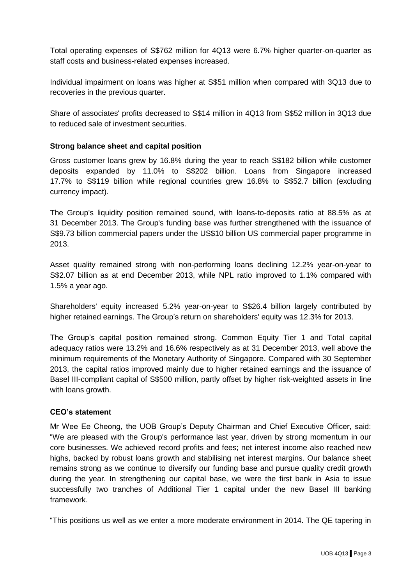Total operating expenses of S\$762 million for 4Q13 were 6.7% higher quarter-on-quarter as staff costs and business-related expenses increased.

Individual impairment on loans was higher at S\$51 million when compared with 3Q13 due to recoveries in the previous quarter.

Share of associates' profits decreased to S\$14 million in 4Q13 from S\$52 million in 3Q13 due to reduced sale of investment securities.

### **Strong balance sheet and capital position**

Gross customer loans grew by 16.8% during the year to reach S\$182 billion while customer deposits expanded by 11.0% to S\$202 billion. Loans from Singapore increased 17.7% to S\$119 billion while regional countries grew 16.8% to S\$52.7 billion (excluding currency impact).

The Group's liquidity position remained sound, with loans-to-deposits ratio at 88.5% as at 31 December 2013. The Group's funding base was further strengthened with the issuance of S\$9.73 billion commercial papers under the US\$10 billion US commercial paper programme in 2013.

Asset quality remained strong with non-performing loans declining 12.2% year-on-year to S\$2.07 billion as at end December 2013, while NPL ratio improved to 1.1% compared with 1.5% a year ago.

Shareholders' equity increased 5.2% year-on-year to S\$26.4 billion largely contributed by higher retained earnings. The Group's return on shareholders' equity was 12.3% for 2013.

The Group's capital position remained strong. Common Equity Tier 1 and Total capital adequacy ratios were 13.2% and 16.6% respectively as at 31 December 2013, well above the minimum requirements of the Monetary Authority of Singapore. Compared with 30 September 2013, the capital ratios improved mainly due to higher retained earnings and the issuance of Basel III-compliant capital of S\$500 million, partly offset by higher risk-weighted assets in line with loans growth.

#### **CEO's statement**

Mr Wee Ee Cheong, the UOB Group's Deputy Chairman and Chief Executive Officer, said: "We are pleased with the Group's performance last year, driven by strong momentum in our core businesses. We achieved record profits and fees; net interest income also reached new highs, backed by robust loans growth and stabilising net interest margins. Our balance sheet remains strong as we continue to diversify our funding base and pursue quality credit growth during the year. In strengthening our capital base, we were the first bank in Asia to issue successfully two tranches of Additional Tier 1 capital under the new Basel III banking framework.

"This positions us well as we enter a more moderate environment in 2014. The QE tapering in